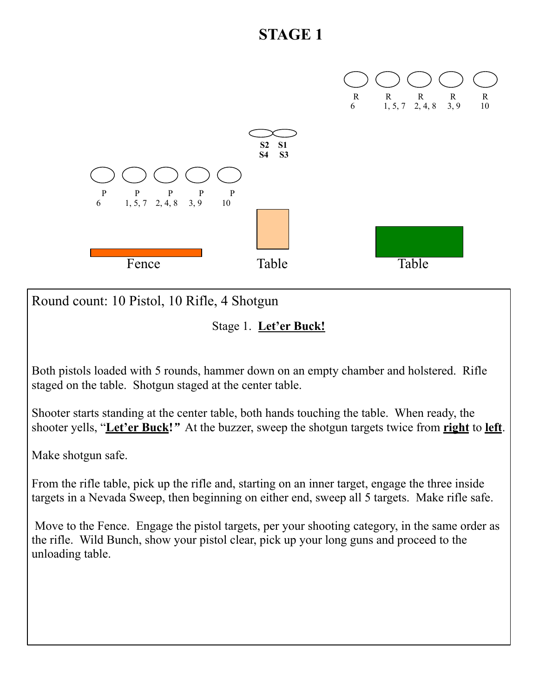

Round count: 10 Pistol, 10 Rifle, 4 Shotgun

Stage 1. **Let'er Buck!** 

Both pistols loaded with 5 rounds, hammer down on an empty chamber and holstered. Rifle staged on the table. Shotgun staged at the center table.

Shooter starts standing at the center table, both hands touching the table. When ready, the shooter yells, "**Let'er Buck!***"* At the buzzer, sweep the shotgun targets twice from **right** to **left**.

Make shotgun safe.

From the rifle table, pick up the rifle and, starting on an inner target, engage the three inside targets in a Nevada Sweep, then beginning on either end, sweep all 5 targets. Make rifle safe.

 Move to the Fence. Engage the pistol targets, per your shooting category, in the same order as the rifle. Wild Bunch, show your pistol clear, pick up your long guns and proceed to the unloading table.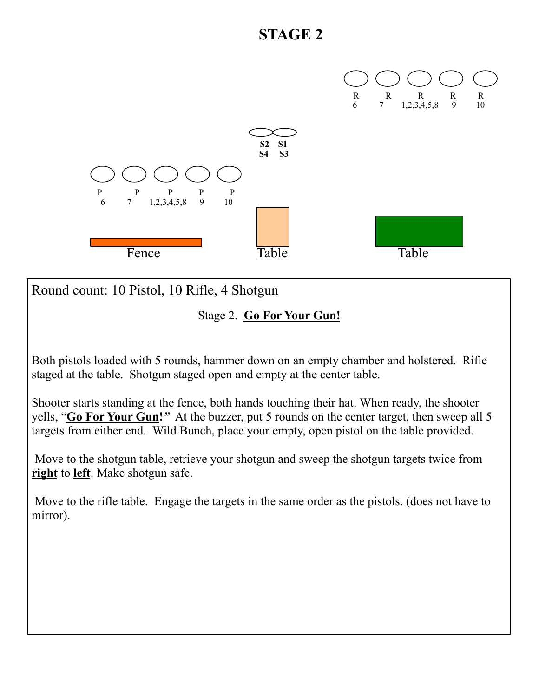

Round count: 10 Pistol, 10 Rifle, 4 Shotgun

Stage 2. **Go For Your Gun!** 

Both pistols loaded with 5 rounds, hammer down on an empty chamber and holstered. Rifle staged at the table. Shotgun staged open and empty at the center table.

Shooter starts standing at the fence, both hands touching their hat. When ready, the shooter yells, "**Go For Your Gun!***"* At the buzzer, put 5 rounds on the center target, then sweep all 5 targets from either end. Wild Bunch, place your empty, open pistol on the table provided.

 Move to the shotgun table, retrieve your shotgun and sweep the shotgun targets twice from **right** to **left**. Make shotgun safe.

 Move to the rifle table. Engage the targets in the same order as the pistols. (does not have to mirror).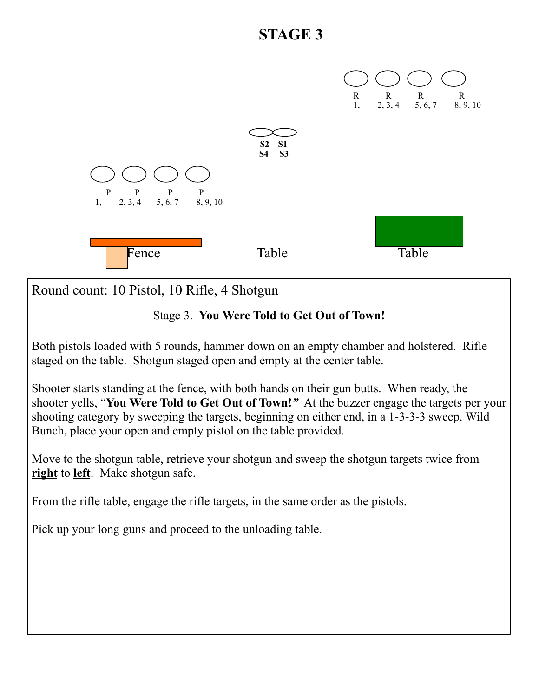

Round count: 10 Pistol, 10 Rifle, 4 Shotgun

#### Stage 3. **You Were Told to Get Out of Town!**

Both pistols loaded with 5 rounds, hammer down on an empty chamber and holstered. Rifle staged on the table. Shotgun staged open and empty at the center table.

Shooter starts standing at the fence, with both hands on their gun butts. When ready, the shooter yells, "**You Were Told to Get Out of Town!***"* At the buzzer engage the targets per your shooting category by sweeping the targets, beginning on either end, in a 1-3-3-3 sweep. Wild Bunch, place your open and empty pistol on the table provided.

Move to the shotgun table, retrieve your shotgun and sweep the shotgun targets twice from **right** to **left**. Make shotgun safe.

From the rifle table, engage the rifle targets, in the same order as the pistols.

Pick up your long guns and proceed to the unloading table.